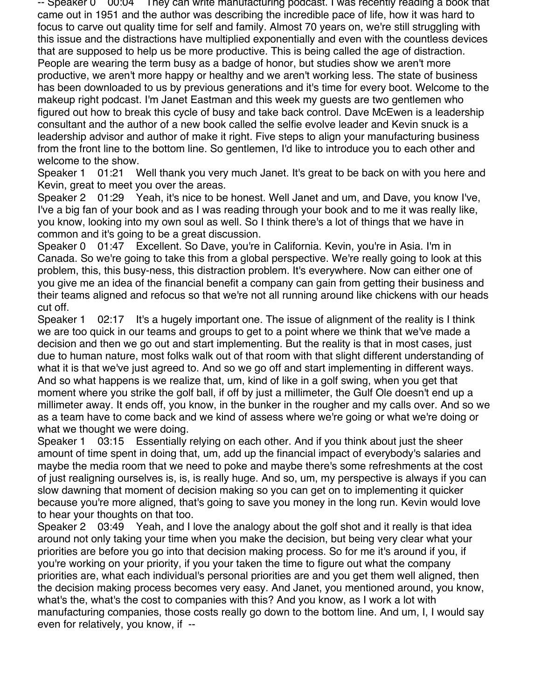-- Speaker 0  $\,$  00:04 They can write manufacturing podcast. I was recently reading a book that came out in 1951 and the author was describing the incredible pace of life, how it was hard to focus to carve out quality time for self and family. Almost 70 years on, we're still struggling with this issue and the distractions have multiplied exponentially and even with the countless devices that are supposed to help us be more productive. This is being called the age of distraction. People are wearing the term busy as a badge of honor, but studies show we aren't more productive, we aren't more happy or healthy and we aren't working less. The state of business has been downloaded to us by previous generations and it's time for every boot. Welcome to the makeup right podcast. I'm Janet Eastman and this week my guests are two gentlemen who figured out how to break this cycle of busy and take back control. Dave McEwen is a leadership consultant and the author of a new book called the selfie evolve leader and Kevin snuck is a leadership advisor and author of make it right. Five steps to align your manufacturing business from the front line to the bottom line. So gentlemen, I'd like to introduce you to each other and welcome to the show.

Speaker 1 01:21 Well thank you very much Janet. It's great to be back on with you here and Kevin, great to meet you over the areas.

Speaker 2 01:29 Yeah, it's nice to be honest. Well Janet and um, and Dave, you know I've, I've a big fan of your book and as I was reading through your book and to me it was really like, you know, looking into my own soul as well. So I think there's a lot of things that we have in common and it's going to be a great discussion.

Speaker 0 01:47 Excellent. So Dave, you're in California. Kevin, you're in Asia. I'm in Canada. So we're going to take this from a global perspective. We're really going to look at this problem, this, this busy-ness, this distraction problem. It's everywhere. Now can either one of you give me an idea of the financial benefit a company can gain from getting their business and their teams aligned and refocus so that we're not all running around like chickens with our heads cut off.

Speaker 1 02:17 It's a hugely important one. The issue of alignment of the reality is I think we are too quick in our teams and groups to get to a point where we think that we've made a decision and then we go out and start implementing. But the reality is that in most cases, just due to human nature, most folks walk out of that room with that slight different understanding of what it is that we've just agreed to. And so we go off and start implementing in different ways. And so what happens is we realize that, um, kind of like in a golf swing, when you get that moment where you strike the golf ball, if off by just a millimeter, the Gulf Ole doesn't end up a millimeter away. It ends off, you know, in the bunker in the rougher and my calls over. And so we as a team have to come back and we kind of assess where we're going or what we're doing or what we thought we were doing.

Speaker 1 03:15 Essentially relying on each other. And if you think about just the sheer amount of time spent in doing that, um, add up the financial impact of everybody's salaries and maybe the media room that we need to poke and maybe there's some refreshments at the cost of just realigning ourselves is, is, is really huge. And so, um, my perspective is always if you can slow dawning that moment of decision making so you can get on to implementing it quicker because you're more aligned, that's going to save you money in the long run. Kevin would love to hear your thoughts on that too.

Speaker 2 03:49 Yeah, and I love the analogy about the golf shot and it really is that idea around not only taking your time when you make the decision, but being very clear what your priorities are before you go into that decision making process. So for me it's around if you, if you're working on your priority, if you your taken the time to figure out what the company priorities are, what each individual's personal priorities are and you get them well aligned, then the decision making process becomes very easy. And Janet, you mentioned around, you know, what's the, what's the cost to companies with this? And you know, as I work a lot with manufacturing companies, those costs really go down to the bottom line. And um, I, I would say even for relatively, you know, if --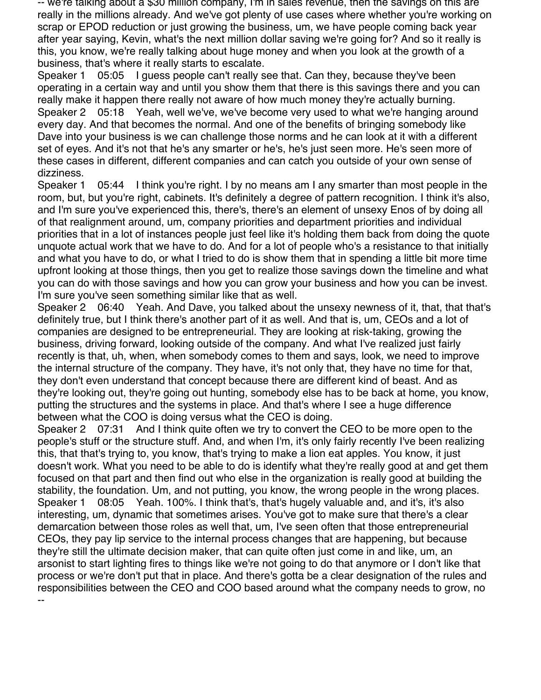-- we're talking about a \$30 million company, I'm in sales revenue, then the savings on this are really in the millions already. And we've got plenty of use cases where whether you're working on scrap or EPOD reduction or just growing the business, um, we have people coming back year after year saying, Kevin, what's the next million dollar saving we're going for? And so it really is this, you know, we're really talking about huge money and when you look at the growth of a business, that's where it really starts to escalate.

Speaker 1 05:05 I guess people can't really see that. Can they, because they've been operating in a certain way and until you show them that there is this savings there and you can really make it happen there really not aware of how much money they're actually burning. Speaker 2 05:18 Yeah, well we've, we've become very used to what we're hanging around every day. And that becomes the normal. And one of the benefits of bringing somebody like Dave into your business is we can challenge those norms and he can look at it with a different set of eyes. And it's not that he's any smarter or he's, he's just seen more. He's seen more of these cases in different, different companies and can catch you outside of your own sense of dizziness.

Speaker 1 05:44 I think you're right. I by no means am I any smarter than most people in the room, but, but you're right, cabinets. It's definitely a degree of pattern recognition. I think it's also, and I'm sure you've experienced this, there's, there's an element of unsexy Enos of by doing all of that realignment around, um, company priorities and department priorities and individual priorities that in a lot of instances people just feel like it's holding them back from doing the quote unquote actual work that we have to do. And for a lot of people who's a resistance to that initially and what you have to do, or what I tried to do is show them that in spending a little bit more time upfront looking at those things, then you get to realize those savings down the timeline and what you can do with those savings and how you can grow your business and how you can be invest. I'm sure you've seen something similar like that as well.

Speaker 2 06:40 Yeah. And Dave, you talked about the unsexy newness of it, that, that that's definitely true, but I think there's another part of it as well. And that is, um, CEOs and a lot of companies are designed to be entrepreneurial. They are looking at risk-taking, growing the business, driving forward, looking outside of the company. And what I've realized just fairly recently is that, uh, when, when somebody comes to them and says, look, we need to improve the internal structure of the company. They have, it's not only that, they have no time for that, they don't even understand that concept because there are different kind of beast. And as they're looking out, they're going out hunting, somebody else has to be back at home, you know, putting the structures and the systems in place. And that's where I see a huge difference between what the COO is doing versus what the CEO is doing.

Speaker 2 07:31 And I think quite often we try to convert the CEO to be more open to the people's stuff or the structure stuff. And, and when I'm, it's only fairly recently I've been realizing this, that that's trying to, you know, that's trying to make a lion eat apples. You know, it just doesn't work. What you need to be able to do is identify what they're really good at and get them focused on that part and then find out who else in the organization is really good at building the stability, the foundation. Um, and not putting, you know, the wrong people in the wrong places. Speaker 1 08:05 Yeah. 100%. I think that's, that's hugely valuable and, and it's, it's also interesting, um, dynamic that sometimes arises. You've got to make sure that there's a clear demarcation between those roles as well that, um, I've seen often that those entrepreneurial CEOs, they pay lip service to the internal process changes that are happening, but because they're still the ultimate decision maker, that can quite often just come in and like, um, an arsonist to start lighting fires to things like we're not going to do that anymore or I don't like that process or we're don't put that in place. And there's gotta be a clear designation of the rules and responsibilities between the CEO and COO based around what the company needs to grow, no --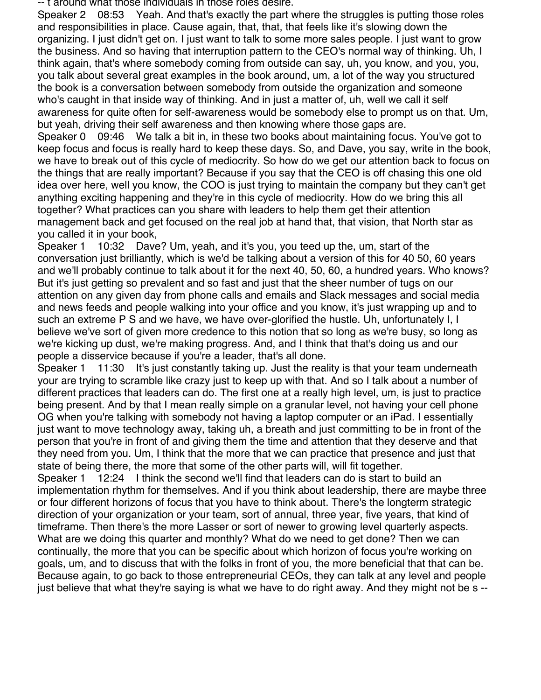-- t around what those individuals in those roles desire.

Speaker 2 08:53 Yeah. And that's exactly the part where the struggles is putting those roles and responsibilities in place. Cause again, that, that, that feels like it's slowing down the organizing. I just didn't get on. I just want to talk to some more sales people. I just want to grow the business. And so having that interruption pattern to the CEO's normal way of thinking. Uh, I think again, that's where somebody coming from outside can say, uh, you know, and you, you, you talk about several great examples in the book around, um, a lot of the way you structured the book is a conversation between somebody from outside the organization and someone who's caught in that inside way of thinking. And in just a matter of, uh, well we call it self awareness for quite often for self-awareness would be somebody else to prompt us on that. Um, but yeah, driving their self awareness and then knowing where those gaps are.

Speaker 0 09:46 We talk a bit in, in these two books about maintaining focus. You've got to keep focus and focus is really hard to keep these days. So, and Dave, you say, write in the book, we have to break out of this cycle of mediocrity. So how do we get our attention back to focus on the things that are really important? Because if you say that the CEO is off chasing this one old idea over here, well you know, the COO is just trying to maintain the company but they can't get anything exciting happening and they're in this cycle of mediocrity. How do we bring this all together? What practices can you share with leaders to help them get their attention management back and get focused on the real job at hand that, that vision, that North star as you called it in your book,

Speaker 1 10:32 Dave? Um, yeah, and it's you, you teed up the, um, start of the conversation just brilliantly, which is we'd be talking about a version of this for 40 50, 60 years and we'll probably continue to talk about it for the next 40, 50, 60, a hundred years. Who knows? But it's just getting so prevalent and so fast and just that the sheer number of tugs on our attention on any given day from phone calls and emails and Slack messages and social media and news feeds and people walking into your office and you know, it's just wrapping up and to such an extreme P S and we have, we have over-glorified the hustle. Uh, unfortunately I, I believe we've sort of given more credence to this notion that so long as we're busy, so long as we're kicking up dust, we're making progress. And, and I think that that's doing us and our people a disservice because if you're a leader, that's all done.

Speaker 1 11:30 It's just constantly taking up. Just the reality is that your team underneath your are trying to scramble like crazy just to keep up with that. And so I talk about a number of different practices that leaders can do. The first one at a really high level, um, is just to practice being present. And by that I mean really simple on a granular level, not having your cell phone OG when you're talking with somebody not having a laptop computer or an iPad. I essentially just want to move technology away, taking uh, a breath and just committing to be in front of the person that you're in front of and giving them the time and attention that they deserve and that they need from you. Um, I think that the more that we can practice that presence and just that state of being there, the more that some of the other parts will, will fit together.

Speaker 1 12:24 I think the second we'll find that leaders can do is start to build an implementation rhythm for themselves. And if you think about leadership, there are maybe three or four different horizons of focus that you have to think about. There's the longterm strategic direction of your organization or your team, sort of annual, three year, five years, that kind of timeframe. Then there's the more Lasser or sort of newer to growing level quarterly aspects. What are we doing this quarter and monthly? What do we need to get done? Then we can continually, the more that you can be specific about which horizon of focus you're working on goals, um, and to discuss that with the folks in front of you, the more beneficial that that can be. Because again, to go back to those entrepreneurial CEOs, they can talk at any level and people just believe that what they're saying is what we have to do right away. And they might not be s --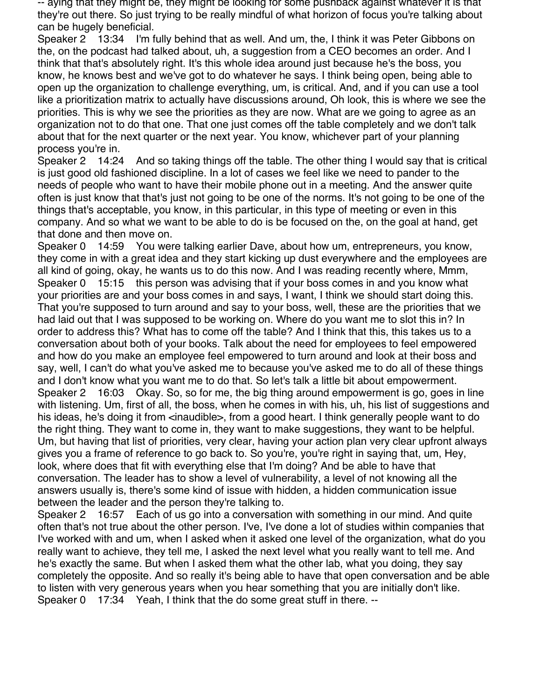-- aying that they might be, they might be looking for some pushback against whatever it is that they're out there. So just trying to be really mindful of what horizon of focus you're talking about can be hugely beneficial.

Speaker 2 13:34 I'm fully behind that as well. And um, the, I think it was Peter Gibbons on the, on the podcast had talked about, uh, a suggestion from a CEO becomes an order. And I think that that's absolutely right. It's this whole idea around just because he's the boss, you know, he knows best and we've got to do whatever he says. I think being open, being able to open up the organization to challenge everything, um, is critical. And, and if you can use a tool like a prioritization matrix to actually have discussions around, Oh look, this is where we see the priorities. This is why we see the priorities as they are now. What are we going to agree as an organization not to do that one. That one just comes off the table completely and we don't talk about that for the next quarter or the next year. You know, whichever part of your planning process you're in.

Speaker 2 14:24 And so taking things off the table. The other thing I would say that is critical is just good old fashioned discipline. In a lot of cases we feel like we need to pander to the needs of people who want to have their mobile phone out in a meeting. And the answer quite often is just know that that's just not going to be one of the norms. It's not going to be one of the things that's acceptable, you know, in this particular, in this type of meeting or even in this company. And so what we want to be able to do is be focused on the, on the goal at hand, get that done and then move on.

Speaker 0 14:59 You were talking earlier Dave, about how um, entrepreneurs, you know, they come in with a great idea and they start kicking up dust everywhere and the employees are all kind of going, okay, he wants us to do this now. And I was reading recently where, Mmm, Speaker 0 15:15 this person was advising that if your boss comes in and you know what your priorities are and your boss comes in and says, I want, I think we should start doing this. That you're supposed to turn around and say to your boss, well, these are the priorities that we had laid out that I was supposed to be working on. Where do you want me to slot this in? In order to address this? What has to come off the table? And I think that this, this takes us to a conversation about both of your books. Talk about the need for employees to feel empowered and how do you make an employee feel empowered to turn around and look at their boss and say, well, I can't do what you've asked me to because you've asked me to do all of these things and I don't know what you want me to do that. So let's talk a little bit about empowerment. Speaker 2 16:03 Okay. So, so for me, the big thing around empowerment is go, goes in line with listening. Um, first of all, the boss, when he comes in with his, uh, his list of suggestions and his ideas, he's doing it from <inaudible>, from a good heart. I think generally people want to do the right thing. They want to come in, they want to make suggestions, they want to be helpful. Um, but having that list of priorities, very clear, having your action plan very clear upfront always gives you a frame of reference to go back to. So you're, you're right in saying that, um, Hey, look, where does that fit with everything else that I'm doing? And be able to have that conversation. The leader has to show a level of vulnerability, a level of not knowing all the answers usually is, there's some kind of issue with hidden, a hidden communication issue between the leader and the person they're talking to.

Speaker 2 16:57 Each of us go into a conversation with something in our mind. And quite often that's not true about the other person. I've, I've done a lot of studies within companies that I've worked with and um, when I asked when it asked one level of the organization, what do you really want to achieve, they tell me, I asked the next level what you really want to tell me. And he's exactly the same. But when I asked them what the other lab, what you doing, they say completely the opposite. And so really it's being able to have that open conversation and be able to listen with very generous years when you hear something that you are initially don't like. Speaker 0 17:34 Yeah, I think that the do some great stuff in there. --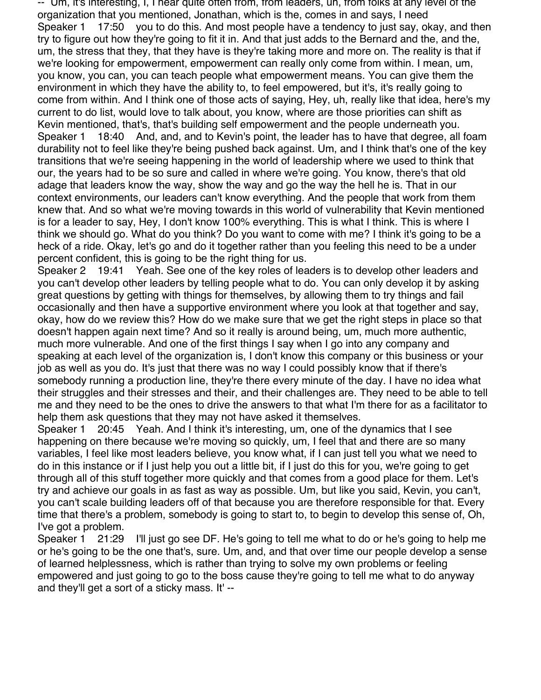-- Um, it's interesting, I, I hear quite often from, from leaders, uh, from folks at any level of the organization that you mentioned, Jonathan, which is the, comes in and says, I need Speaker 1 17:50 you to do this. And most people have a tendency to just say, okay, and then try to figure out how they're going to fit it in. And that just adds to the Bernard and the, and the, um, the stress that they, that they have is they're taking more and more on. The reality is that if we're looking for empowerment, empowerment can really only come from within. I mean, um, you know, you can, you can teach people what empowerment means. You can give them the environment in which they have the ability to, to feel empowered, but it's, it's really going to come from within. And I think one of those acts of saying, Hey, uh, really like that idea, here's my current to do list, would love to talk about, you know, where are those priorities can shift as Kevin mentioned, that's, that's building self empowerment and the people underneath you. Speaker 1 18:40 And, and, and to Kevin's point, the leader has to have that degree, all foam durability not to feel like they're being pushed back against. Um, and I think that's one of the key transitions that we're seeing happening in the world of leadership where we used to think that our, the years had to be so sure and called in where we're going. You know, there's that old adage that leaders know the way, show the way and go the way the hell he is. That in our context environments, our leaders can't know everything. And the people that work from them knew that. And so what we're moving towards in this world of vulnerability that Kevin mentioned is for a leader to say, Hey, I don't know 100% everything. This is what I think. This is where I think we should go. What do you think? Do you want to come with me? I think it's going to be a heck of a ride. Okay, let's go and do it together rather than you feeling this need to be a under percent confident, this is going to be the right thing for us.

Speaker 2 19:41 Yeah. See one of the key roles of leaders is to develop other leaders and you can't develop other leaders by telling people what to do. You can only develop it by asking great questions by getting with things for themselves, by allowing them to try things and fail occasionally and then have a supportive environment where you look at that together and say, okay, how do we review this? How do we make sure that we get the right steps in place so that doesn't happen again next time? And so it really is around being, um, much more authentic, much more vulnerable. And one of the first things I say when I go into any company and speaking at each level of the organization is, I don't know this company or this business or your job as well as you do. It's just that there was no way I could possibly know that if there's somebody running a production line, they're there every minute of the day. I have no idea what their struggles and their stresses and their, and their challenges are. They need to be able to tell me and they need to be the ones to drive the answers to that what I'm there for as a facilitator to help them ask questions that they may not have asked it themselves.

Speaker 1 20:45 Yeah. And I think it's interesting, um, one of the dynamics that I see happening on there because we're moving so quickly, um, I feel that and there are so many variables, I feel like most leaders believe, you know what, if I can just tell you what we need to do in this instance or if I just help you out a little bit, if I just do this for you, we're going to get through all of this stuff together more quickly and that comes from a good place for them. Let's try and achieve our goals in as fast as way as possible. Um, but like you said, Kevin, you can't, you can't scale building leaders off of that because you are therefore responsible for that. Every time that there's a problem, somebody is going to start to, to begin to develop this sense of, Oh, I've got a problem.

Speaker 1 21:29 I'll just go see DF. He's going to tell me what to do or he's going to help me or he's going to be the one that's, sure. Um, and, and that over time our people develop a sense of learned helplessness, which is rather than trying to solve my own problems or feeling empowered and just going to go to the boss cause they're going to tell me what to do anyway and they'll get a sort of a sticky mass. It' --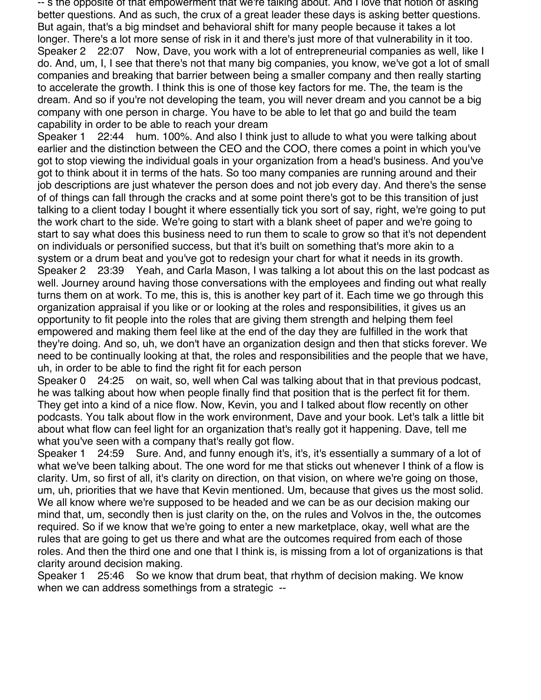-- s the opposite of that empowerment that we're talking about. And I love that notion of asking better questions. And as such, the crux of a great leader these days is asking better questions. But again, that's a big mindset and behavioral shift for many people because it takes a lot longer. There's a lot more sense of risk in it and there's just more of that vulnerability in it too. Speaker 2 22:07 Now, Dave, you work with a lot of entrepreneurial companies as well, like I do. And, um, I, I see that there's not that many big companies, you know, we've got a lot of small companies and breaking that barrier between being a smaller company and then really starting to accelerate the growth. I think this is one of those key factors for me. The, the team is the dream. And so if you're not developing the team, you will never dream and you cannot be a big company with one person in charge. You have to be able to let that go and build the team capability in order to be able to reach your dream

Speaker 1 22:44 hum. 100%. And also I think just to allude to what you were talking about earlier and the distinction between the CEO and the COO, there comes a point in which you've got to stop viewing the individual goals in your organization from a head's business. And you've got to think about it in terms of the hats. So too many companies are running around and their job descriptions are just whatever the person does and not job every day. And there's the sense of of things can fall through the cracks and at some point there's got to be this transition of just talking to a client today I bought it where essentially tick you sort of say, right, we're going to put the work chart to the side. We're going to start with a blank sheet of paper and we're going to start to say what does this business need to run them to scale to grow so that it's not dependent on individuals or personified success, but that it's built on something that's more akin to a system or a drum beat and you've got to redesign your chart for what it needs in its growth. Speaker 2 23:39 Yeah, and Carla Mason, I was talking a lot about this on the last podcast as well. Journey around having those conversations with the employees and finding out what really turns them on at work. To me, this is, this is another key part of it. Each time we go through this organization appraisal if you like or or looking at the roles and responsibilities, it gives us an opportunity to fit people into the roles that are giving them strength and helping them feel empowered and making them feel like at the end of the day they are fulfilled in the work that they're doing. And so, uh, we don't have an organization design and then that sticks forever. We need to be continually looking at that, the roles and responsibilities and the people that we have, uh, in order to be able to find the right fit for each person

Speaker 0 24:25 on wait, so, well when Cal was talking about that in that previous podcast, he was talking about how when people finally find that position that is the perfect fit for them. They get into a kind of a nice flow. Now, Kevin, you and I talked about flow recently on other podcasts. You talk about flow in the work environment, Dave and your book. Let's talk a little bit about what flow can feel light for an organization that's really got it happening. Dave, tell me what you've seen with a company that's really got flow.

Speaker 1 24:59 Sure. And, and funny enough it's, it's, it's essentially a summary of a lot of what we've been talking about. The one word for me that sticks out whenever I think of a flow is clarity. Um, so first of all, it's clarity on direction, on that vision, on where we're going on those, um, uh, priorities that we have that Kevin mentioned. Um, because that gives us the most solid. We all know where we're supposed to be headed and we can be as our decision making our mind that, um, secondly then is just clarity on the, on the rules and Volvos in the, the outcomes required. So if we know that we're going to enter a new marketplace, okay, well what are the rules that are going to get us there and what are the outcomes required from each of those roles. And then the third one and one that I think is, is missing from a lot of organizations is that clarity around decision making.

Speaker 1 25:46 So we know that drum beat, that rhythm of decision making. We know when we can address somethings from a strategic --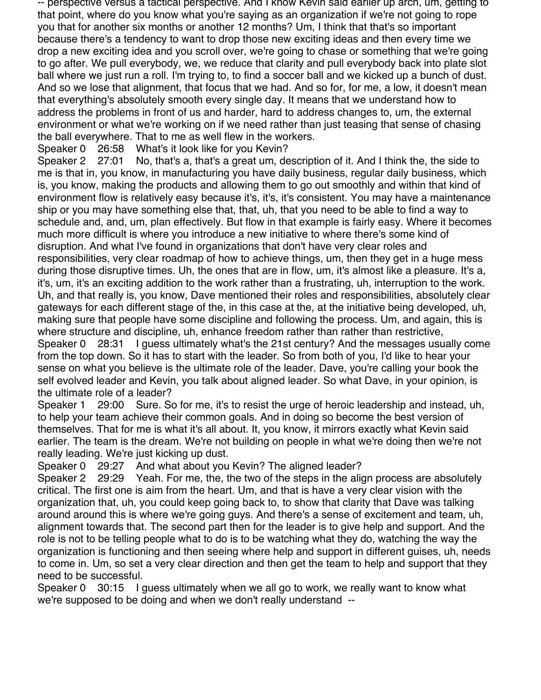-- perspective versus a tactical perspective. And I know Kevin said earlier up arch, um, getting to that point, where do you know what you're saying as an organization if we're not going to rope you that for another six months or another 12 months? Um, I think that that's so important because there's a tendency to want to drop those new exciting ideas and then every time we drop a new exciting idea and you scroll over, we're going to chase or something that we're going to go after. We pull everybody, we, we reduce that clarity and pull everybody back into plate slot ball where we just run a roll. I'm trying to, to find a soccer ball and we kicked up a bunch of dust. And so we lose that alignment, that focus that we had. And so for, for me, a low, it doesn't mean that everything's absolutely smooth every single day. It means that we understand how to address the problems in front of us and harder, hard to address changes to, um, the external environment or what we're working on if we need rather than just teasing that sense of chasing the ball everywhere. That to me as well flew in the workers.

Speaker 0 26:58 What's it look like for you Kevin?

Speaker 2 27:01 No, that's a, that's a great um, description of it. And I think the, the side to me is that in, you know, in manufacturing you have daily business, regular daily business, which is, you know, making the products and allowing them to go out smoothly and within that kind of environment flow is relatively easy because it's, it's, it's consistent. You may have a maintenance ship or you may have something else that, that, uh, that you need to be able to find a way to schedule and, and, um, plan effectively. But flow in that example is fairly easy. Where it becomes much more difficult is where you introduce a new initiative to where there's some kind of disruption. And what I've found in organizations that don't have very clear roles and responsibilities, very clear roadmap of how to achieve things, um, then they get in a huge mess during those disruptive times. Uh, the ones that are in flow, um, it's almost like a pleasure. It's a, it's, um, it's an exciting addition to the work rather than a frustrating, uh, interruption to the work. Uh, and that really is, you know, Dave mentioned their roles and responsibilities, absolutely clear gateways for each different stage of the, in this case at the, at the initiative being developed, uh, making sure that people have some discipline and following the process. Um, and again, this is where structure and discipline, uh, enhance freedom rather than rather than restrictive,

Speaker 0 28:31 I guess ultimately what's the 21st century? And the messages usually come from the top down. So it has to start with the leader. So from both of you, I'd like to hear your sense on what you believe is the ultimate role of the leader. Dave, you're calling your book the self evolved leader and Kevin, you talk about aligned leader. So what Dave, in your opinion, is the ultimate role of a leader?

Speaker 1 29:00 Sure. So for me, it's to resist the urge of heroic leadership and instead, uh, to help your team achieve their common goals. And in doing so become the best version of themselves. That for me is what it's all about. It, you know, it mirrors exactly what Kevin said earlier. The team is the dream. We're not building on people in what we're doing then we're not really leading. We're just kicking up dust.

Speaker 0 29:27 And what about you Kevin? The aligned leader?

Speaker 2 29:29 Yeah. For me, the, the two of the steps in the align process are absolutely critical. The first one is aim from the heart. Um, and that is have a very clear vision with the organization that, uh, you could keep going back to, to show that clarity that Dave was talking around around this is where we're going guys. And there's a sense of excitement and team, uh, alignment towards that. The second part then for the leader is to give help and support. And the role is not to be telling people what to do is to be watching what they do, watching the way the organization is functioning and then seeing where help and support in different guises, uh, needs to come in. Um, so set a very clear direction and then get the team to help and support that they need to be successful.

Speaker 0 30:15 I guess ultimately when we all go to work, we really want to know what we're supposed to be doing and when we don't really understand --